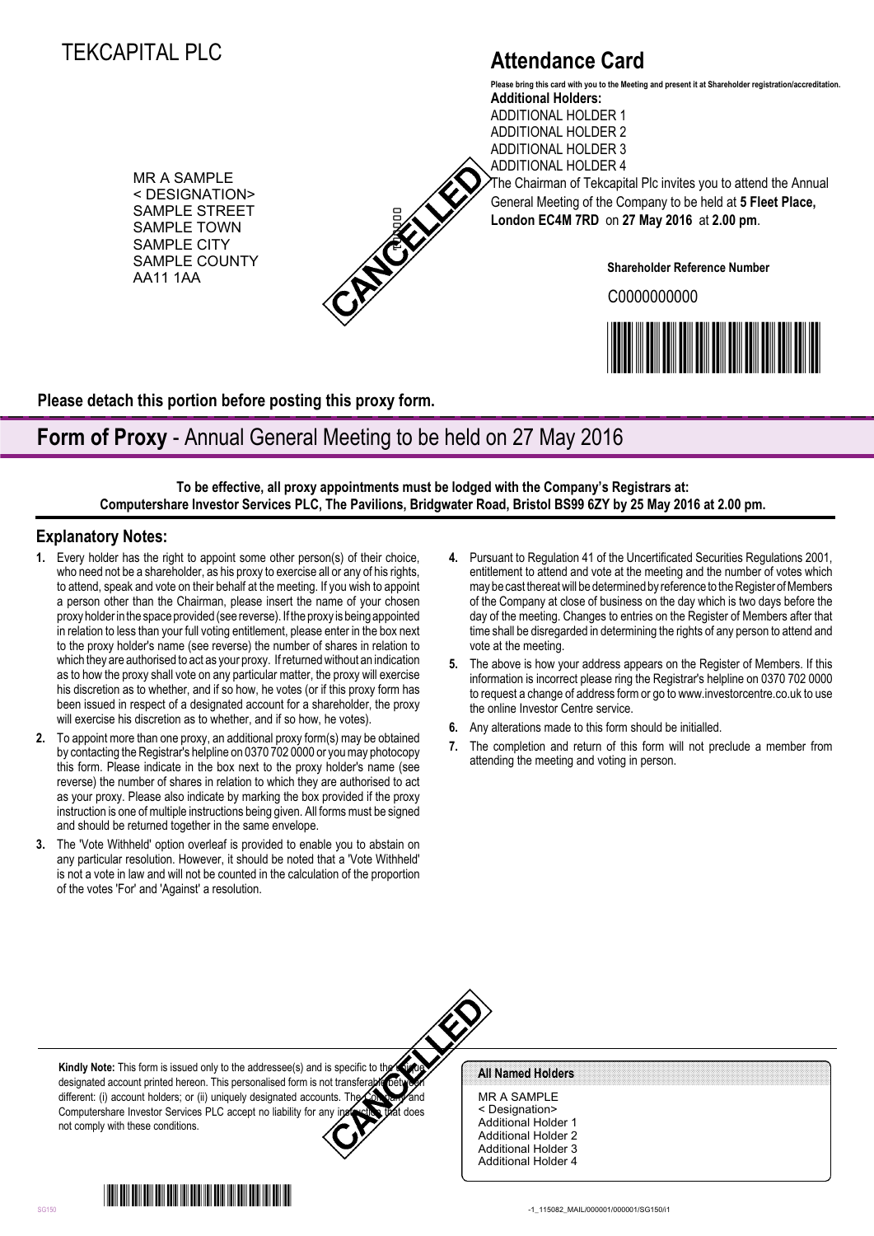# TEKCAPITAL PLC

# **Attendance Card**

MR A SAMPLE < DESIGNATION> SAMPLE STREET SAMPLE TOWN SAMPLE CITY SAMPLE COUNTY AA11 1AA



**Additional Holders:** ADDITIONAL HOLDER 1 ADDITIONAL HOLDER 2 ADDITIONAL HOLDER 3 **Please bring this card with you to the Meeting and present it at Shareholder registration/accreditation.**

ADDITIONAL HOLDER 4 The Chairman of Tekcapital Plc invites you to attend the Annual General Meeting of the Company to be held at **5 Fleet Place, London EC4M 7RD** on **27 May 2016** at **2.00 pm**.

**Shareholder Reference Number**

C0000000000



**Please detach this portion before posting this proxy form.**

## **Form of Proxy** - Annual General Meeting to be held on 27 May 2016

**To be effective, all proxy appointments must be lodged with the Company's Registrars at: Computershare Investor Services PLC, The Pavilions, Bridgwater Road, Bristol BS99 6ZY by 25 May 2016 at 2.00 pm.**

### **Explanatory Notes:**

- **1.** Every holder has the right to appoint some other person(s) of their choice, who need not be a shareholder, as his proxy to exercise all or any of his rights, to attend, speak and vote on their behalf at the meeting. If you wish to appoint a person other than the Chairman, please insert the name of your chosen proxy holder in the space provided (see reverse). If the proxy is being appointed in relation to less than your full voting entitlement, please enter in the box next to the proxy holder's name (see reverse) the number of shares in relation to which they are authorised to act as your proxy. If returned without an indication as to how the proxy shall vote on any particular matter, the proxy will exercise his discretion as to whether, and if so how, he votes (or if this proxy form has been issued in respect of a designated account for a shareholder, the proxy will exercise his discretion as to whether, and if so how, he votes). Solution the content in the content in the content in the content in the content in the content in the content in the content in the content in the content in the content in the content in the content in the content in th
- **2.** To appoint more than one proxy, an additional proxy form(s) may be obtained by contacting the Registrar's helpline on 0370 702 0000 or you may photocopy this form. Please indicate in the box next to the proxy holder's name (see reverse) the number of shares in relation to which they are authorised to act as your proxy. Please also indicate by marking the box provided if the proxy instruction is one of multiple instructions being given. All forms must be signed and should be returned together in the same envelope.
- **3.** The 'Vote Withheld' option overleaf is provided to enable you to abstain on any particular resolution. However, it should be noted that a 'Vote Withheld' is not a vote in law and will not be counted in the calculation of the proportion of the votes 'For' and 'Against' a resolution.
- **4.** Pursuant to Regulation 41 of the Uncertificated Securities Regulations 2001, entitlement to attend and vote at the meeting and the number of votes which may be cast thereat will be determined by reference to the Register of Members of the Company at close of business on the day which is two days before the day of the meeting. Changes to entries on the Register of Members after that time shall be disregarded in determining the rights of any person to attend and vote at the meeting.
- **5.** The above is how your address appears on the Register of Members. If this information is incorrect please ring the Registrar's helpline on 0370 702 0000 to request a change of address form or go to www.investorcentre.co.uk to use the online Investor Centre service.
- **6.** Any alterations made to this form should be initialled.
- **7.** The completion and return of this form will not preclude a member from attending the meeting and voting in person.

**Kindly Note:** This form is issued only to the addressee(s) and is specific to the designated account printed hereon. This personalised form is not transferable between different: (i) account holders; or (ii) uniquely designated accounts. Th Computershare Investor Services PLC accept no liability for any instruction that does not comply with these conditions.

MR A SAMPLE < Designation> Additional Holder 1 Additional Holder 2 Additional Holder 3 Additional Holder 4